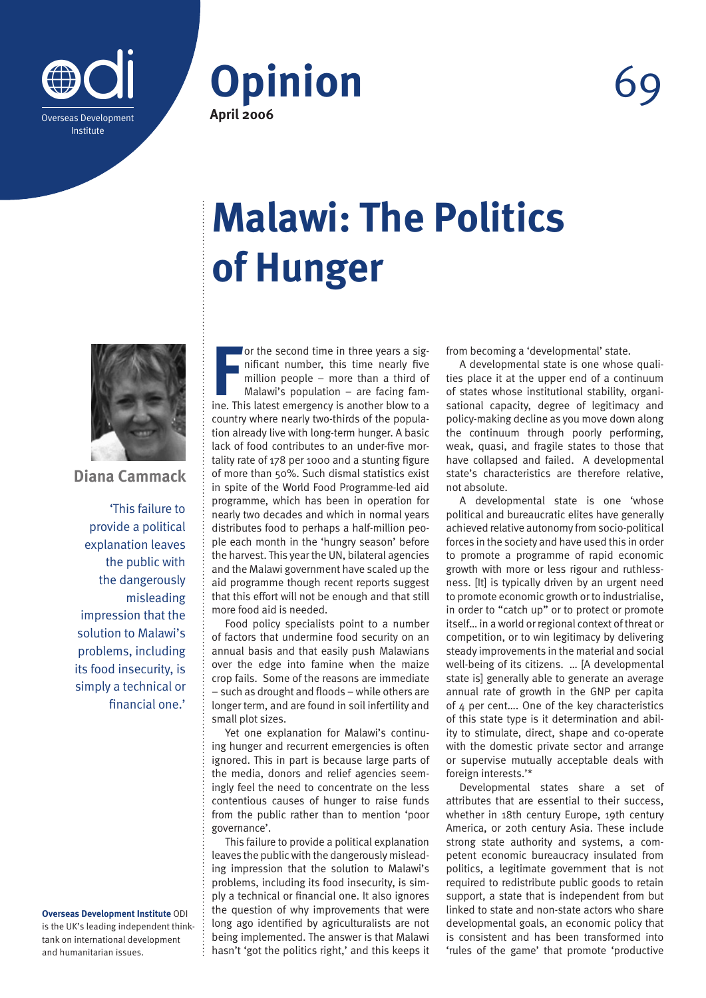



## **Malawi: The Politics of Hunger**



**Diana Cammack**

'This failure to provide a political explanation leaves the public with the dangerously misleading impression that the solution to Malawi's problems, including its food insecurity, is simply a technical or financial one.'

**Overseas Development Institute** ODI is the UK's leading independent thinktank on international development and humanitarian issues.

**FR** or the second time in three years a significant number, this time nearly five million people – more than a third of Malawi's population – are facing famine. This latest emergency is another blow to a or the second time in three years a significant number, this time nearly five million people – more than a third of Malawi's population – are facing famcountry where nearly two-thirds of the population already live with long-term hunger. A basic lack of food contributes to an under-five mortality rate of 178 per 1000 and a stunting figure of more than 50%. Such dismal statistics exist in spite of the World Food Programme-led aid programme, which has been in operation for nearly two decades and which in normal years distributes food to perhaps a half-million people each month in the 'hungry season' before the harvest. This year the UN, bilateral agencies and the Malawi government have scaled up the aid programme though recent reports suggest that this effort will not be enough and that still more food aid is needed.

Food policy specialists point to a number of factors that undermine food security on an annual basis and that easily push Malawians over the edge into famine when the maize crop fails. Some of the reasons are immediate – such as drought and floods – while others are longer term, and are found in soil infertility and small plot sizes.

Yet one explanation for Malawi's continuing hunger and recurrent emergencies is often ignored. This in part is because large parts of the media, donors and relief agencies seemingly feel the need to concentrate on the less contentious causes of hunger to raise funds from the public rather than to mention 'poor governance'.

This failure to provide a political explanation leaves the public with the dangerously misleading impression that the solution to Malawi's problems, including its food insecurity, is simply a technical or financial one. It also ignores the question of why improvements that were long ago identified by agriculturalists are not being implemented. The answer is that Malawi hasn't 'got the politics right,' and this keeps it from becoming a 'developmental' state.

A developmental state is one whose qualities place it at the upper end of a continuum of states whose institutional stability, organisational capacity, degree of legitimacy and policy-making decline as you move down along the continuum through poorly performing, weak, quasi, and fragile states to those that have collapsed and failed. A developmental state's characteristics are therefore relative, not absolute.

A developmental state is one 'whose political and bureaucratic elites have generally achieved relative autonomy from socio-political forces in the society and have used this in order to promote a programme of rapid economic growth with more or less rigour and ruthlessness. [It] is typically driven by an urgent need to promote economic growth or to industrialise, in order to "catch up" or to protect or promote itself… in a world or regional context of threat or competition, or to win legitimacy by delivering steady improvements in the material and social well-being of its citizens. … [A developmental state is] generally able to generate an average annual rate of growth in the GNP per capita of 4 per cent…. One of the key characteristics of this state type is it determination and ability to stimulate, direct, shape and co-operate with the domestic private sector and arrange or supervise mutually acceptable deals with foreign interests.'\*

Developmental states share a set of attributes that are essential to their success, whether in 18th century Europe, 19th century America, or 20th century Asia. These include strong state authority and systems, a competent economic bureaucracy insulated from politics, a legitimate government that is not required to redistribute public goods to retain support, a state that is independent from but linked to state and non-state actors who share developmental goals, an economic policy that is consistent and has been transformed into 'rules of the game' that promote 'productive